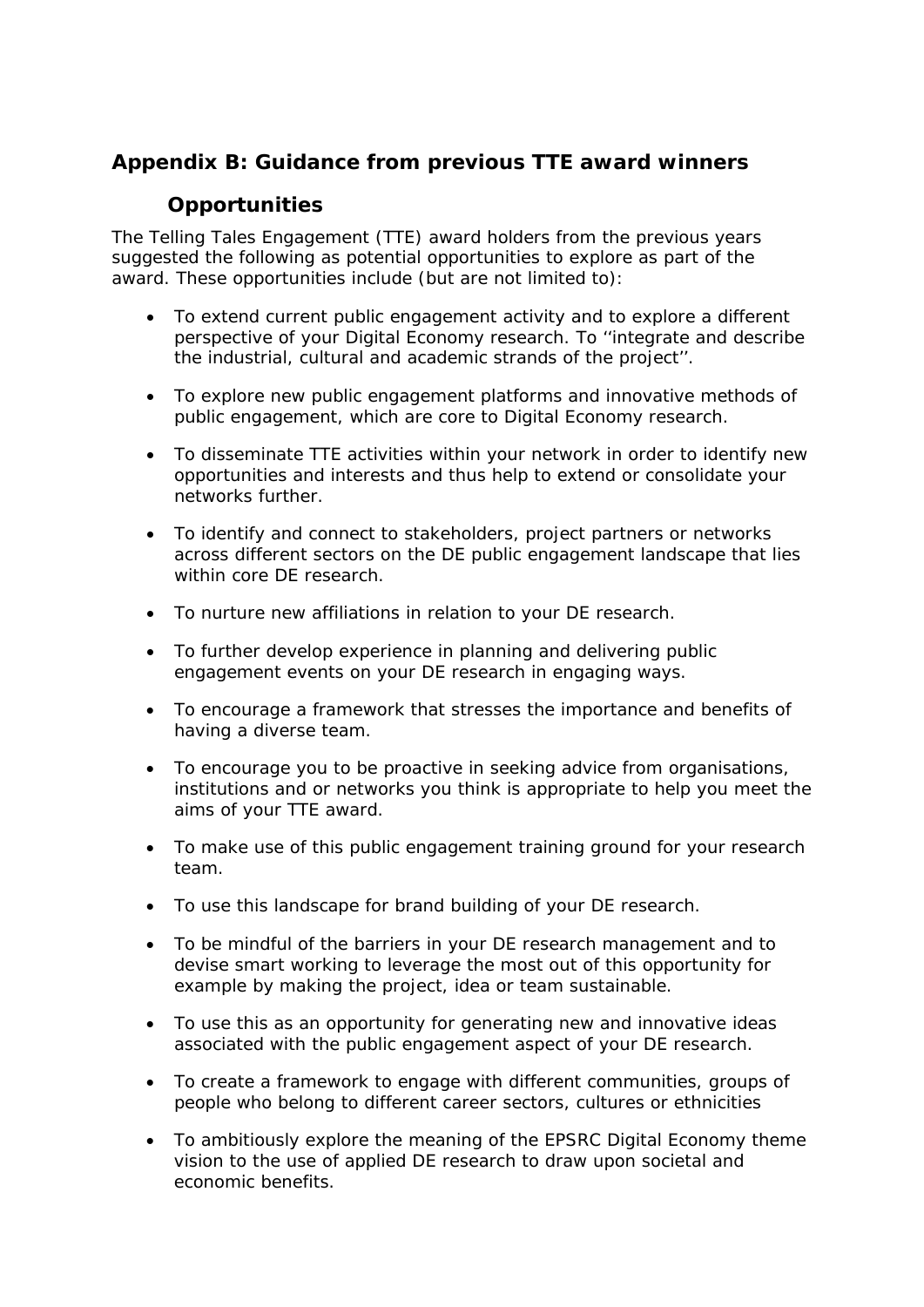## **Appendix B: Guidance from previous TTE award winners**

## **Opportunities**

The Telling Tales Engagement (TTE) award holders from the previous years suggested the following as potential opportunities to explore as part of the award. These opportunities include (but are not limited to):

- To extend current public engagement activity and to explore a different perspective of your Digital Economy research. To ''integrate and describe the industrial, cultural and academic strands of the project''.
- To explore new public engagement platforms and innovative methods of public engagement, which are core to Digital Economy research.
- To disseminate TTE activities within your network in order to identify new opportunities and interests and thus help to extend or consolidate your networks further.
- To identify and connect to stakeholders, project partners or networks across different sectors on the DE public engagement landscape that lies within core DE research.
- To nurture new affiliations in relation to your DE research.
- To further develop experience in planning and delivering public engagement events on your DE research in engaging ways.
- To encourage a framework that stresses the importance and benefits of having a diverse team.
- To encourage you to be proactive in seeking advice from organisations, institutions and or networks you think is appropriate to help you meet the aims of your TTE award.
- To make use of this public engagement training ground for your research team.
- To use this landscape for brand building of your DE research.
- To be mindful of the barriers in your DE research management and to devise smart working to leverage the most out of this opportunity for example by making the project, idea or team sustainable.
- To use this as an opportunity for generating new and innovative ideas associated with the public engagement aspect of your DE research.
- To create a framework to engage with different communities, groups of people who belong to different career sectors, cultures or ethnicities
- To ambitiously explore the meaning of the EPSRC Digital Economy theme vision to the use of applied DE research to draw upon societal and economic benefits.